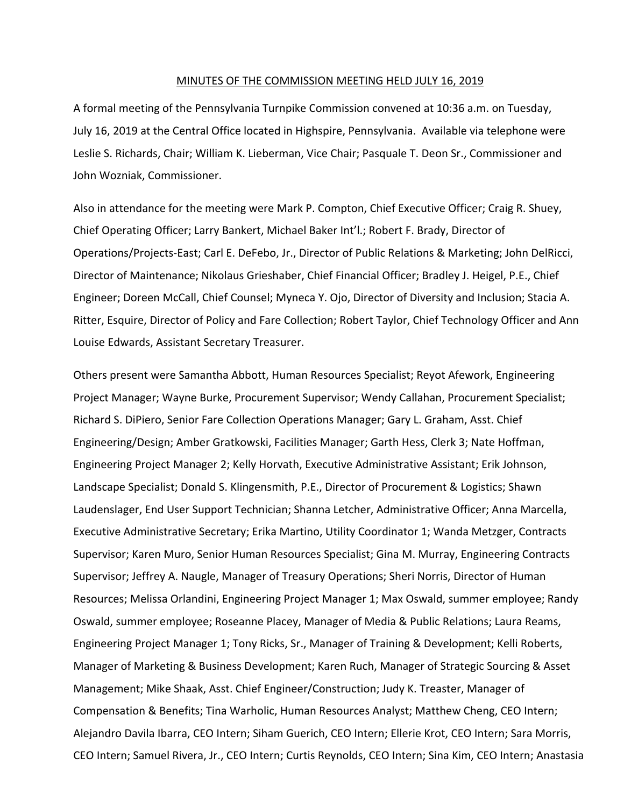#### MINUTES OF THE COMMISSION MEETING HELD JULY 16, 2019

A formal meeting of the Pennsylvania Turnpike Commission convened at 10:36 a.m. on Tuesday, July 16, 2019 at the Central Office located in Highspire, Pennsylvania. Available via telephone were Leslie S. Richards, Chair; William K. Lieberman, Vice Chair; Pasquale T. Deon Sr., Commissioner and John Wozniak, Commissioner.

Also in attendance for the meeting were Mark P. Compton, Chief Executive Officer; Craig R. Shuey, Chief Operating Officer; Larry Bankert, Michael Baker Int'l.; Robert F. Brady, Director of Operations/Projects‐East; Carl E. DeFebo, Jr., Director of Public Relations & Marketing; John DelRicci, Director of Maintenance; Nikolaus Grieshaber, Chief Financial Officer; Bradley J. Heigel, P.E., Chief Engineer; Doreen McCall, Chief Counsel; Myneca Y. Ojo, Director of Diversity and Inclusion; Stacia A. Ritter, Esquire, Director of Policy and Fare Collection; Robert Taylor, Chief Technology Officer and Ann Louise Edwards, Assistant Secretary Treasurer.

Others present were Samantha Abbott, Human Resources Specialist; Reyot Afework, Engineering Project Manager; Wayne Burke, Procurement Supervisor; Wendy Callahan, Procurement Specialist; Richard S. DiPiero, Senior Fare Collection Operations Manager; Gary L. Graham, Asst. Chief Engineering/Design; Amber Gratkowski, Facilities Manager; Garth Hess, Clerk 3; Nate Hoffman, Engineering Project Manager 2; Kelly Horvath, Executive Administrative Assistant; Erik Johnson, Landscape Specialist; Donald S. Klingensmith, P.E., Director of Procurement & Logistics; Shawn Laudenslager, End User Support Technician; Shanna Letcher, Administrative Officer; Anna Marcella, Executive Administrative Secretary; Erika Martino, Utility Coordinator 1; Wanda Metzger, Contracts Supervisor; Karen Muro, Senior Human Resources Specialist; Gina M. Murray, Engineering Contracts Supervisor; Jeffrey A. Naugle, Manager of Treasury Operations; Sheri Norris, Director of Human Resources; Melissa Orlandini, Engineering Project Manager 1; Max Oswald, summer employee; Randy Oswald, summer employee; Roseanne Placey, Manager of Media & Public Relations; Laura Reams, Engineering Project Manager 1; Tony Ricks, Sr., Manager of Training & Development; Kelli Roberts, Manager of Marketing & Business Development; Karen Ruch, Manager of Strategic Sourcing & Asset Management; Mike Shaak, Asst. Chief Engineer/Construction; Judy K. Treaster, Manager of Compensation & Benefits; Tina Warholic, Human Resources Analyst; Matthew Cheng, CEO Intern; Alejandro Davila Ibarra, CEO Intern; Siham Guerich, CEO Intern; Ellerie Krot, CEO Intern; Sara Morris, CEO Intern; Samuel Rivera, Jr., CEO Intern; Curtis Reynolds, CEO Intern; Sina Kim, CEO Intern; Anastasia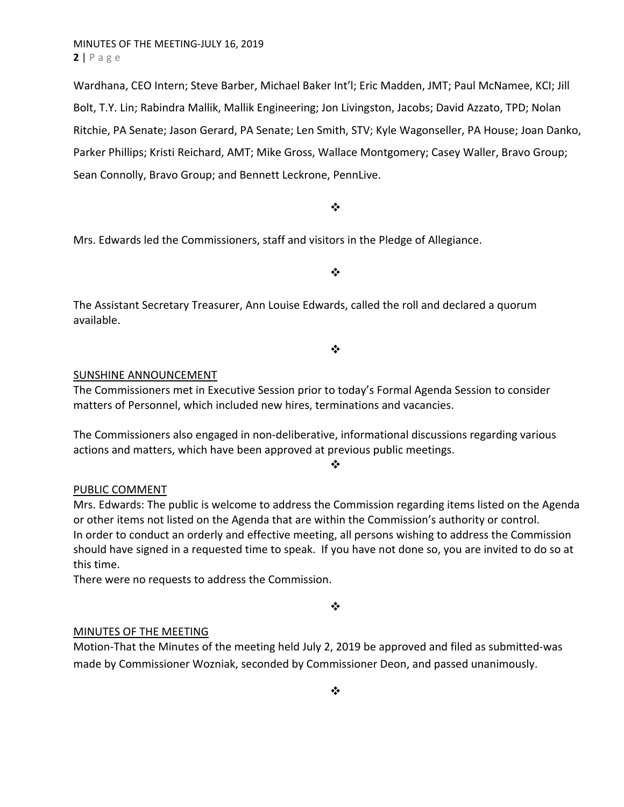Wardhana, CEO Intern; Steve Barber, Michael Baker Int'l; Eric Madden, JMT; Paul McNamee, KCI; Jill Bolt, T.Y. Lin; Rabindra Mallik, Mallik Engineering; Jon Livingston, Jacobs; David Azzato, TPD; Nolan Ritchie, PA Senate; Jason Gerard, PA Senate; Len Smith, STV; Kyle Wagonseller, PA House; Joan Danko, Parker Phillips; Kristi Reichard, AMT; Mike Gross, Wallace Montgomery; Casey Waller, Bravo Group; Sean Connolly, Bravo Group; and Bennett Leckrone, PennLive.

### $\bullet^{\bullet}_{\bullet} \bullet$

Mrs. Edwards led the Commissioners, staff and visitors in the Pledge of Allegiance.

 $\cdot$ 

The Assistant Secretary Treasurer, Ann Louise Edwards, called the roll and declared a quorum available.

❖

### SUNSHINE ANNOUNCEMENT

The Commissioners met in Executive Session prior to today's Formal Agenda Session to consider matters of Personnel, which included new hires, terminations and vacancies.

The Commissioners also engaged in non‐deliberative, informational discussions regarding various actions and matters, which have been approved at previous public meetings.

 $\bullet^{\bullet}_{\mathbf{a}^{\bullet}}$ 

### PUBLIC COMMENT

Mrs. Edwards: The public is welcome to address the Commission regarding items listed on the Agenda or other items not listed on the Agenda that are within the Commission's authority or control. In order to conduct an orderly and effective meeting, all persons wishing to address the Commission should have signed in a requested time to speak. If you have not done so, you are invited to do so at this time.

There were no requests to address the Commission.

 $\bullet \bullet$ 

### MINUTES OF THE MEETING

Motion‐That the Minutes of the meeting held July 2, 2019 be approved and filed as submitted‐was made by Commissioner Wozniak, seconded by Commissioner Deon, and passed unanimously.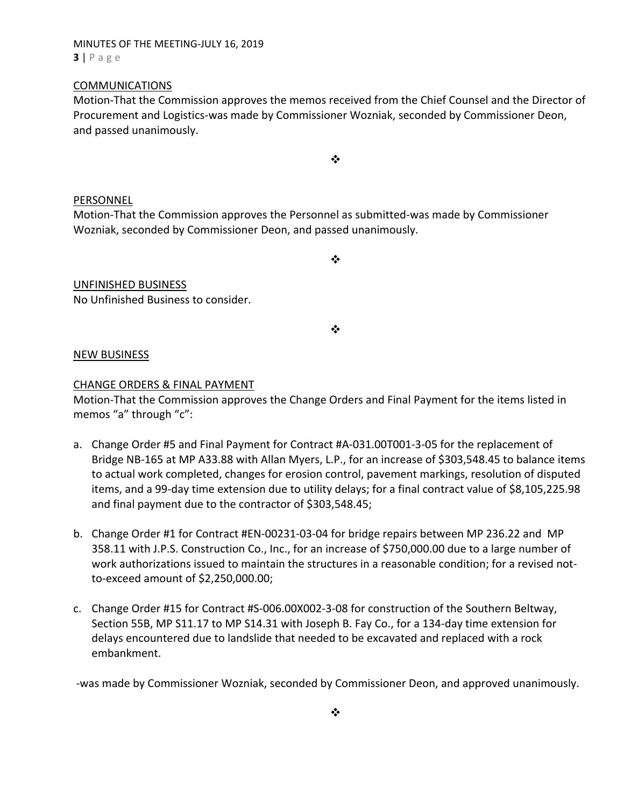### MINUTES OF THE MEETING‐JULY 16, 2019 **3** | Page

### COMMUNICATIONS

Motion‐That the Commission approves the memos received from the Chief Counsel and the Director of Procurement and Logistics‐was made by Commissioner Wozniak, seconded by Commissioner Deon, and passed unanimously.

❖

### PERSONNEL

Motion‐That the Commission approves the Personnel as submitted‐was made by Commissioner Wozniak, seconded by Commissioner Deon, and passed unanimously.

 $\cdot$ 

### UNFINISHED BUSINESS

No Unfinished Business to consider.

❖

### NEW BUSINESS

### CHANGE ORDERS & FINAL PAYMENT

Motion‐That the Commission approves the Change Orders and Final Payment for the items listed in memos "a" through "c":

- a. Change Order #5 and Final Payment for Contract #A‐031.00T001‐3‐05 for the replacement of Bridge NB‐165 at MP A33.88 with Allan Myers, L.P., for an increase of \$303,548.45 to balance items to actual work completed, changes for erosion control, pavement markings, resolution of disputed items, and a 99‐day time extension due to utility delays; for a final contract value of \$8,105,225.98 and final payment due to the contractor of \$303,548.45;
- b. Change Order #1 for Contract #EN‐00231‐03‐04 for bridge repairs between MP 236.22 and MP 358.11 with J.P.S. Construction Co., Inc., for an increase of \$750,000.00 due to a large number of work authorizations issued to maintain the structures in a reasonable condition; for a revised notto‐exceed amount of \$2,250,000.00;
- c. Change Order #15 for Contract #S‐006.00X002‐3‐08 for construction of the Southern Beltway, Section 55B, MP S11.17 to MP S14.31 with Joseph B. Fay Co., for a 134‐day time extension for delays encountered due to landslide that needed to be excavated and replaced with a rock embankment.

‐was made by Commissioner Wozniak, seconded by Commissioner Deon, and approved unanimously.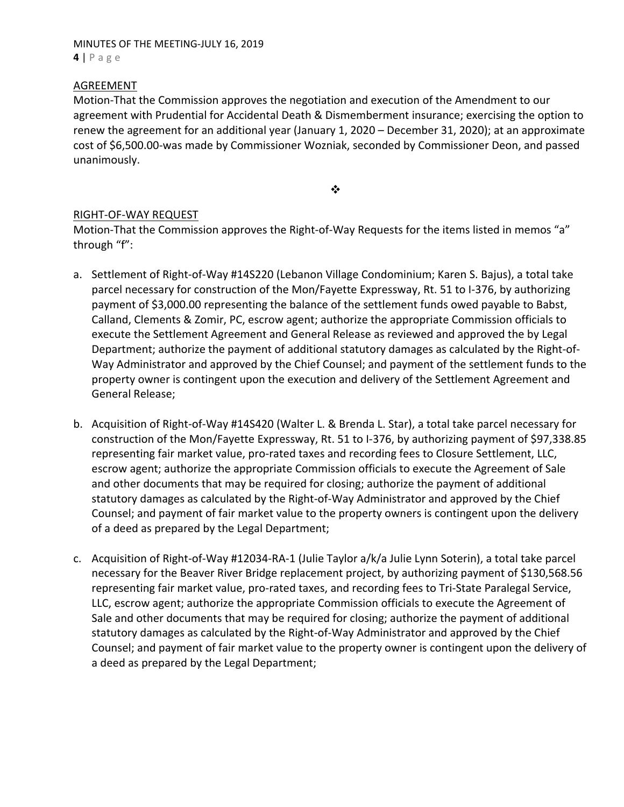### MINUTES OF THE MEETING‐JULY 16, 2019 **4** | Page

### AGREEMENT

Motion‐That the Commission approves the negotiation and execution of the Amendment to our agreement with Prudential for Accidental Death & Dismemberment insurance; exercising the option to renew the agreement for an additional year (January 1, 2020 – December 31, 2020); at an approximate cost of \$6,500.00‐was made by Commissioner Wozniak, seconded by Commissioner Deon, and passed unanimously.

❖

### RIGHT‐OF‐WAY REQUEST

Motion-That the Commission approves the Right-of-Way Requests for the items listed in memos "a" through "f":

- a. Settlement of Right‐of‐Way #14S220 (Lebanon Village Condominium; Karen S. Bajus), a total take parcel necessary for construction of the Mon/Fayette Expressway, Rt. 51 to I‐376, by authorizing payment of \$3,000.00 representing the balance of the settlement funds owed payable to Babst, Calland, Clements & Zomir, PC, escrow agent; authorize the appropriate Commission officials to execute the Settlement Agreement and General Release as reviewed and approved the by Legal Department; authorize the payment of additional statutory damages as calculated by the Right‐of‐ Way Administrator and approved by the Chief Counsel; and payment of the settlement funds to the property owner is contingent upon the execution and delivery of the Settlement Agreement and General Release;
- b. Acquisition of Right‐of‐Way #14S420 (Walter L. & Brenda L. Star), a total take parcel necessary for construction of the Mon/Fayette Expressway, Rt. 51 to I‐376, by authorizing payment of \$97,338.85 representing fair market value, pro‐rated taxes and recording fees to Closure Settlement, LLC, escrow agent; authorize the appropriate Commission officials to execute the Agreement of Sale and other documents that may be required for closing; authorize the payment of additional statutory damages as calculated by the Right‐of‐Way Administrator and approved by the Chief Counsel; and payment of fair market value to the property owners is contingent upon the delivery of a deed as prepared by the Legal Department;
- c. Acquisition of Right‐of‐Way #12034‐RA‐1 (Julie Taylor a/k/a Julie Lynn Soterin), a total take parcel necessary for the Beaver River Bridge replacement project, by authorizing payment of \$130,568.56 representing fair market value, pro‐rated taxes, and recording fees to Tri‐State Paralegal Service, LLC, escrow agent; authorize the appropriate Commission officials to execute the Agreement of Sale and other documents that may be required for closing; authorize the payment of additional statutory damages as calculated by the Right‐of‐Way Administrator and approved by the Chief Counsel; and payment of fair market value to the property owner is contingent upon the delivery of a deed as prepared by the Legal Department;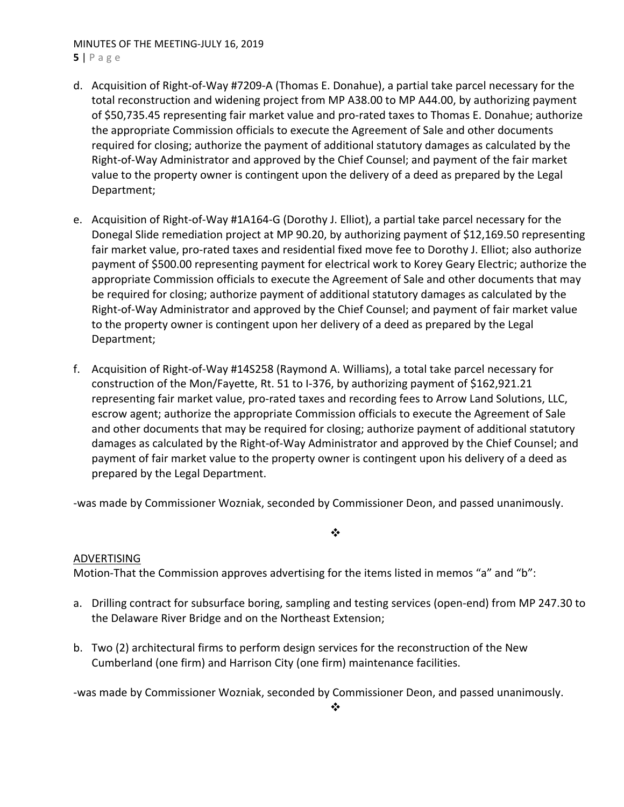## MINUTES OF THE MEETING‐JULY 16, 2019

**5** | Page

- d. Acquisition of Right‐of‐Way #7209‐A (Thomas E. Donahue), a partial take parcel necessary for the total reconstruction and widening project from MP A38.00 to MP A44.00, by authorizing payment of \$50,735.45 representing fair market value and pro‐rated taxes to Thomas E. Donahue; authorize the appropriate Commission officials to execute the Agreement of Sale and other documents required for closing; authorize the payment of additional statutory damages as calculated by the Right‐of‐Way Administrator and approved by the Chief Counsel; and payment of the fair market value to the property owner is contingent upon the delivery of a deed as prepared by the Legal Department;
- e. Acquisition of Right‐of‐Way #1A164‐G (Dorothy J. Elliot), a partial take parcel necessary for the Donegal Slide remediation project at MP 90.20, by authorizing payment of \$12,169.50 representing fair market value, pro‐rated taxes and residential fixed move fee to Dorothy J. Elliot; also authorize payment of \$500.00 representing payment for electrical work to Korey Geary Electric; authorize the appropriate Commission officials to execute the Agreement of Sale and other documents that may be required for closing; authorize payment of additional statutory damages as calculated by the Right‐of‐Way Administrator and approved by the Chief Counsel; and payment of fair market value to the property owner is contingent upon her delivery of a deed as prepared by the Legal Department;
- f. Acquisition of Right‐of‐Way #14S258 (Raymond A. Williams), a total take parcel necessary for construction of the Mon/Fayette, Rt. 51 to I‐376, by authorizing payment of \$162,921.21 representing fair market value, pro‐rated taxes and recording fees to Arrow Land Solutions, LLC, escrow agent; authorize the appropriate Commission officials to execute the Agreement of Sale and other documents that may be required for closing; authorize payment of additional statutory damages as calculated by the Right‐of‐Way Administrator and approved by the Chief Counsel; and payment of fair market value to the property owner is contingent upon his delivery of a deed as prepared by the Legal Department.

‐was made by Commissioner Wozniak, seconded by Commissioner Deon, and passed unanimously.

# ADVERTISING

Motion-That the Commission approves advertising for the items listed in memos "a" and "b":

a. Drilling contract for subsurface boring, sampling and testing services (open-end) from MP 247.30 to the Delaware River Bridge and on the Northeast Extension;

 $\bullet \bullet$ 

b. Two (2) architectural firms to perform design services for the reconstruction of the New Cumberland (one firm) and Harrison City (one firm) maintenance facilities.

‐was made by Commissioner Wozniak, seconded by Commissioner Deon, and passed unanimously.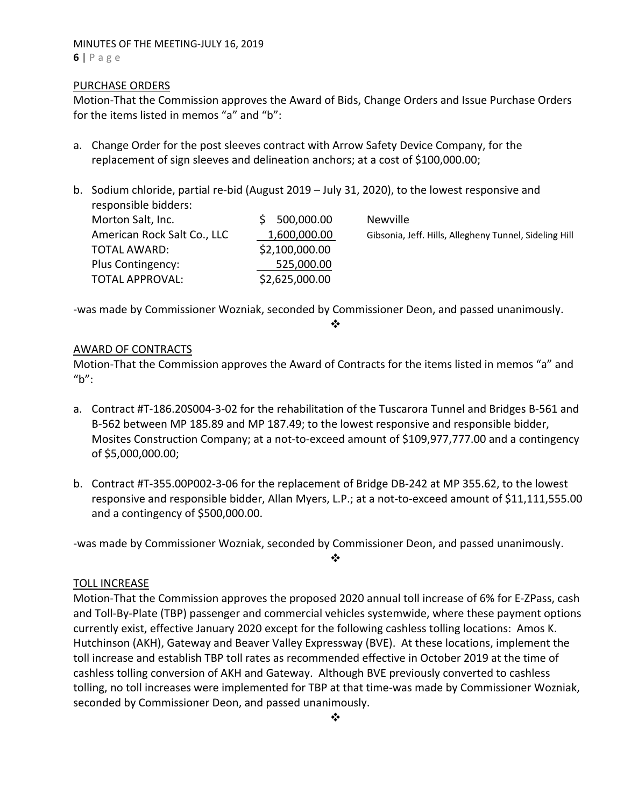### MINUTES OF THE MEETING‐JULY 16, 2019 **6** | Page

### PURCHASE ORDERS

Motion‐That the Commission approves the Award of Bids, Change Orders and Issue Purchase Orders for the items listed in memos "a" and "b":

- a. Change Order for the post sleeves contract with Arrow Safety Device Company, for the replacement of sign sleeves and delineation anchors; at a cost of \$100,000.00;
- b. Sodium chloride, partial re-bid (August 2019 July 31, 2020), to the lowest responsive and responsible bidders:

| Morton Salt, Inc.           | 500,000.00     | <b>Newville</b>                                        |
|-----------------------------|----------------|--------------------------------------------------------|
| American Rock Salt Co., LLC | 1,600,000.00   | Gibsonia, Jeff. Hills, Allegheny Tunnel, Sideling Hill |
| TOTAL AWARD:                | \$2,100,000.00 |                                                        |
| Plus Contingency:           | 525,000.00     |                                                        |
| <b>TOTAL APPROVAL:</b>      | \$2,625,000.00 |                                                        |

‐was made by Commissioner Wozniak, seconded by Commissioner Deon, and passed unanimously.

 $\mathbf{r}^{\bullet}_{\mathbf{a}^{\bullet}}$ 

### AWARD OF CONTRACTS

Motion‐That the Commission approves the Award of Contracts for the items listed in memos "a" and "b":

- a. Contract #T‐186.20S004‐3‐02 for the rehabilitation of the Tuscarora Tunnel and Bridges B‐561 and B‐562 between MP 185.89 and MP 187.49; to the lowest responsive and responsible bidder, Mosites Construction Company; at a not-to-exceed amount of \$109,977,777.00 and a contingency of \$5,000,000.00;
- b. Contract #T‐355.00P002‐3‐06 for the replacement of Bridge DB‐242 at MP 355.62, to the lowest responsive and responsible bidder, Allan Myers, L.P.; at a not‐to‐exceed amount of \$11,111,555.00 and a contingency of \$500,000.00.

‐was made by Commissioner Wozniak, seconded by Commissioner Deon, and passed unanimously.

❖

### TOLL INCREASE

Motion‐That the Commission approves the proposed 2020 annual toll increase of 6% for E‐ZPass, cash and Toll‐By‐Plate (TBP) passenger and commercial vehicles systemwide, where these payment options currently exist, effective January 2020 except for the following cashless tolling locations: Amos K. Hutchinson (AKH), Gateway and Beaver Valley Expressway (BVE). At these locations, implement the toll increase and establish TBP toll rates as recommended effective in October 2019 at the time of cashless tolling conversion of AKH and Gateway. Although BVE previously converted to cashless tolling, no toll increases were implemented for TBP at that time‐was made by Commissioner Wozniak, seconded by Commissioner Deon, and passed unanimously.